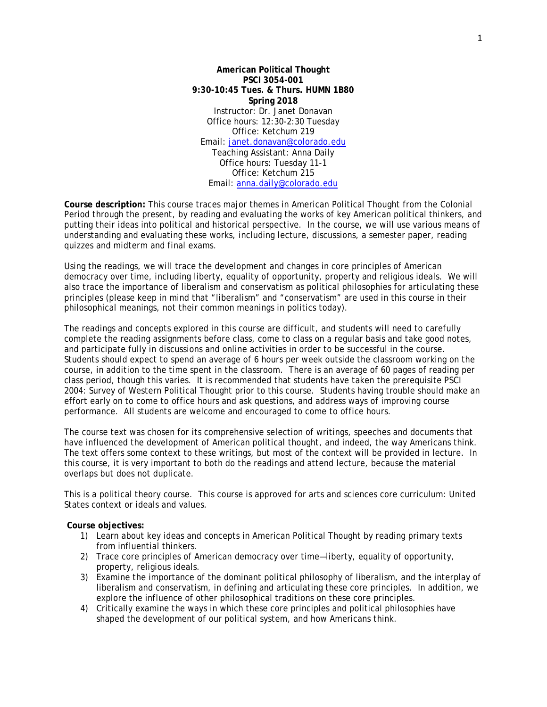**American Political Thought PSCI 3054-001 9:30-10:45 Tues. & Thurs. HUMN 1B80 Spring 2018** Instructor: Dr. Janet Donavan Office hours: 12:30-2:30 Tuesday Office: Ketchum 219 Email: [janet.donavan@colorado.edu](mailto:janet.donavan@colorado.edu) Teaching Assistant: Anna Daily Office hours: Tuesday 11-1 Office: Ketchum 215 Email: [anna.daily@colorado.edu](mailto:anna.daily@colorado.edu)

**Course description:** This course traces major themes in American Political Thought from the Colonial Period through the present, by reading and evaluating the works of key American political thinkers, and putting their ideas into political and historical perspective. In the course, we will use various means of understanding and evaluating these works, including lecture, discussions, a semester paper, reading quizzes and midterm and final exams.

Using the readings, we will trace the development and changes in core principles of American democracy over time, including liberty, equality of opportunity, property and religious ideals. We will also trace the importance of liberalism and conservatism as political philosophies for articulating these principles (please keep in mind that "liberalism" and "conservatism" are used in this course in their philosophical meanings, not their common meanings in politics today).

The readings and concepts explored in this course are difficult, and students will need to carefully complete the reading assignments before class, come to class on a regular basis and take good notes, and participate fully in discussions and online activities in order to be successful in the course. Students should expect to spend an average of 6 hours per week outside the classroom working on the course, in addition to the time spent in the classroom. There is an average of 60 pages of reading per class period, though this varies. It is recommended that students have taken the prerequisite PSCI 2004: Survey of Western Political Thought prior to this course. Students having trouble should make an effort early on to come to office hours and ask questions, and address ways of improving course performance. All students are welcome and encouraged to come to office hours.

The course text was chosen for its comprehensive selection of writings, speeches and documents that have influenced the development of American political thought, and indeed, the way Americans think. The text offers some context to these writings, but most of the context will be provided in lecture. In this course, it is very important to both do the readings and attend lecture, because the material overlaps but does not duplicate.

This is a political theory course. This course is approved for arts and sciences core curriculum: United States context or ideals and values.

**Course objectives:**

- 1) Learn about key ideas and concepts in American Political Thought by reading primary texts from influential thinkers.
- 2) Trace core principles of American democracy over time—liberty, equality of opportunity, property, religious ideals.
- 3) Examine the importance of the dominant political philosophy of liberalism, and the interplay of liberalism and conservatism, in defining and articulating these core principles. In addition, we explore the influence of other philosophical traditions on these core principles.
- 4) Critically examine the ways in which these core principles and political philosophies have shaped the development of our political system, and how Americans think.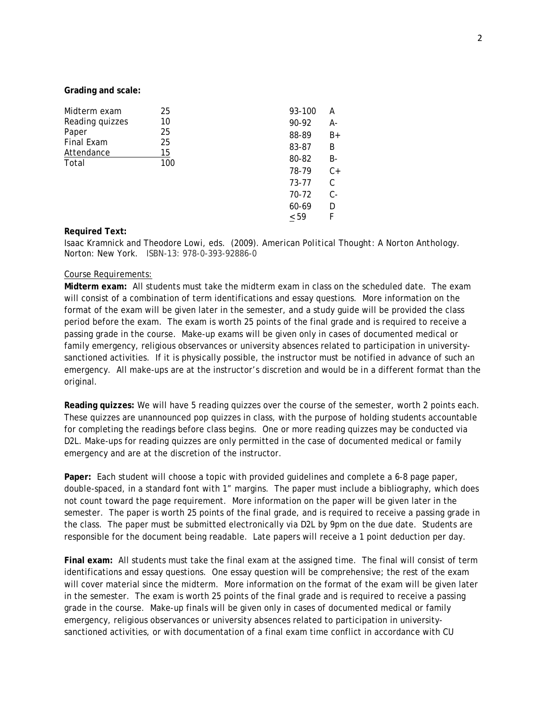## **Grading and scale:**

| 93-100 | А                       |
|--------|-------------------------|
| 90-92  | А-                      |
|        | $B+$                    |
|        | B                       |
|        | $B -$                   |
| 78-79  | $C+$                    |
| 73-77  | C                       |
| 70-72  | $C -$                   |
| 60-69  | D                       |
| < 59   | F                       |
|        | 88-89<br>83-87<br>80-82 |

## **Required Text:**

Isaac Kramnick and Theodore Lowi, eds. (2009). *American Political Thought: A Norton Anthology.*  Norton: New York. ISBN-13: 978-0-393-92886-0

## Course Requirements:

**Midterm exam:** All students must take the midterm exam in class on the scheduled date. The exam will consist of a combination of term identifications and essay questions. More information on the format of the exam will be given later in the semester, and a study guide will be provided the class period before the exam. The exam is worth 25 points of the final grade and is required to receive a passing grade in the course. Make-up exams will be given only in cases of documented medical or family emergency, religious observances or university absences related to participation in universitysanctioned activities. If it is physically possible, the instructor must be notified in advance of such an emergency. All make-ups are at the instructor's discretion and would be in a different format than the original.

**Reading quizzes:** We will have 5 reading quizzes over the course of the semester, worth 2 points each. These quizzes are unannounced pop quizzes in class, with the purpose of holding students accountable for completing the readings before class begins. One or more reading quizzes may be conducted via D2L. Make-ups for reading quizzes are only permitted in the case of documented medical or family emergency and are at the discretion of the instructor.

**Paper:** Each student will choose a topic with provided guidelines and complete a 6-8 page paper, double-spaced, in a standard font with 1" margins. The paper must include a bibliography, which does not count toward the page requirement. More information on the paper will be given later in the semester. The paper is worth 25 points of the final grade, and is required to receive a passing grade in the class. The paper must be submitted electronically via D2L by 9pm on the due date. Students are responsible for the document being readable. Late papers will receive a 1 point deduction per day.

**Final exam:** All students must take the final exam at the assigned time. The final will consist of term identifications and essay questions. One essay question will be comprehensive; the rest of the exam will cover material since the midterm. More information on the format of the exam will be given later in the semester. The exam is worth 25 points of the final grade and is required to receive a passing grade in the course. Make-up finals will be given only in cases of documented medical or family emergency, religious observances or university absences related to participation in universitysanctioned activities, or with documentation of a final exam time conflict in accordance with CU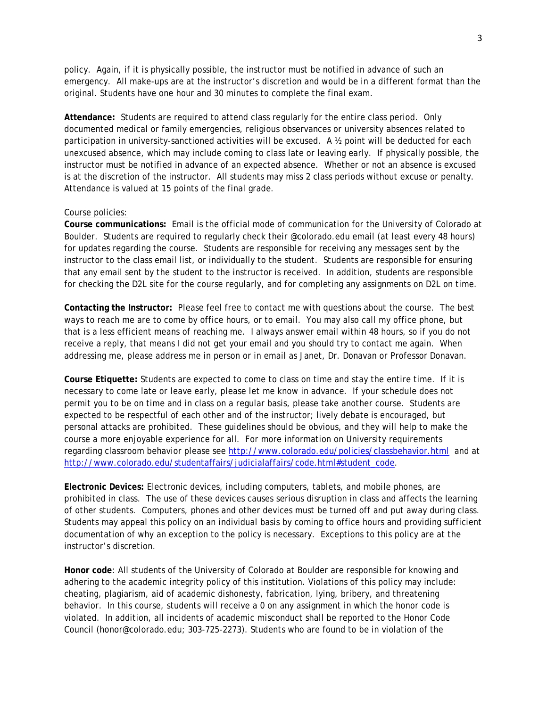policy. Again, if it is physically possible, the instructor must be notified in advance of such an emergency. All make-ups are at the instructor's discretion and would be in a different format than the original. Students have one hour and 30 minutes to complete the final exam.

**Attendance:** Students are required to attend class regularly for the entire class period. Only documented medical or family emergencies, religious observances or university absences related to participation in university-sanctioned activities will be excused. A ½ point will be deducted for each unexcused absence, which may include coming to class late or leaving early. If physically possible, the instructor must be notified in advance of an expected absence. Whether or not an absence is excused is at the discretion of the instructor. All students may miss 2 class periods without excuse or penalty. Attendance is valued at 15 points of the final grade.

## Course policies:

**Course communications:** Email is the official mode of communication for the University of Colorado at Boulder. Students are required to regularly check their @colorado.edu email (at least every 48 hours) for updates regarding the course. Students are responsible for receiving any messages sent by the instructor to the class email list, or individually to the student. Students are responsible for ensuring that any email sent by the student to the instructor is received. In addition, students are responsible for checking the D2L site for the course regularly, and for completing any assignments on D2L on time.

**Contacting the Instructor:** Please feel free to contact me with questions about the course. The best ways to reach me are to come by office hours, or to email. You may also call my office phone, but that is a less efficient means of reaching me. I always answer email within 48 hours, so if you do not receive a reply, that means I did not get your email and you should try to contact me again. When addressing me, please address me in person or in email as Janet, Dr. Donavan or Professor Donavan.

**Course Etiquette:** Students are expected to come to class on time and stay the entire time. If it is necessary to come late or leave early, please let me know in advance. If your schedule does not permit you to be on time and in class on a regular basis, please take another course. Students are expected to be respectful of each other and of the instructor; lively debate is encouraged, but personal attacks are prohibited. These guidelines should be obvious, and they will help to make the course a more enjoyable experience for all. For more information on University requirements regarding classroom behavior please see<http://www.colorado.edu/policies/classbehavior.html> and at [http://www.colorado.edu/studentaffairs/judicialaffairs/code.html#student\\_code.](http://www.colorado.edu/studentaffairs/judicialaffairs/code.html#student_code)

**Electronic Devices:** Electronic devices, including computers, tablets, and mobile phones, are prohibited in class. The use of these devices causes serious disruption in class and affects the learning of other students. Computers, phones and other devices must be turned off and put away during class. Students may appeal this policy on an individual basis by coming to office hours and providing sufficient documentation of why an exception to the policy is necessary. Exceptions to this policy are at the instructor's discretion.

**Honor code**: All students of the University of Colorado at Boulder are responsible for knowing and adhering to the academic integrity policy of this institution. Violations of this policy may include: cheating, plagiarism, aid of academic dishonesty, fabrication, lying, bribery, and threatening behavior. In this course, students will receive a 0 on any assignment in which the honor code is violated. In addition, all incidents of academic misconduct shall be reported to the Honor Code Council (honor@colorado.edu; 303-725-2273). Students who are found to be in violation of the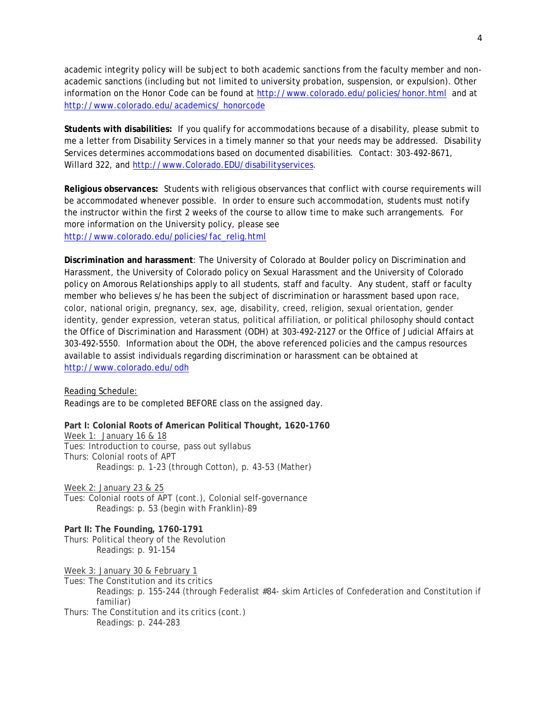academic integrity policy will be subject to both academic sanctions from the faculty member and nonacademic sanctions (including but not limited to university probation, suspension, or expulsion). Other information on the Honor Code can be found at<http://www.colorado.edu/policies/honor.html> and at [http://www.colorado.edu/academics/ honorcode](http://www.colorado.edu/academics/honorcode)

**Students with disabilities:** If you qualify for accommodations because of a disability, please submit to me a letter from Disability Services in a timely manner so that your needs may be addressed. Disability Services determines accommodations based on documented disabilities. Contact: 303-492-8671, Willard 322, and [http://www.Colorado.EDU/disabilityservices.](http://www.colorado.edu/disabilityservices)

**Religious observances:** Students with religious observances that conflict with course requirements will be accommodated whenever possible. In order to ensure such accommodation, students must notify the instructor within the first 2 weeks of the course to allow time to make such arrangements. For more information on the University policy, please see [http://www.colorado.edu/policies/fac\\_relig.html](http://www.colorado.edu/policies/fac_relig.html)

**Discrimination and harassment**: The University of Colorado at Boulder policy on Discrimination and Harassment, the University of Colorado policy on Sexual Harassment and the University of Colorado policy on Amorous Relationships apply to all students, staff and faculty. Any student, staff or faculty member who believes s/he has been the subject of discrimination or harassment based upon race, color, national origin, pregnancy, sex, age, disability, creed, religion, sexual orientation, gender identity, gender expression, veteran status, political affiliation, or political philosophy should contact the Office of Discrimination and Harassment (ODH) at 303-492-2127 or the Office of Judicial Affairs at 303-492-5550. Information about the ODH, the above referenced policies and the campus resources available to assist individuals regarding discrimination or harassment can be obtained at <http://www.colorado.edu/odh>

Reading Schedule: Readings are to be completed BEFORE class on the assigned day.

**Part I: Colonial Roots of American Political Thought, 1620-1760** Week 1: January 16 & 18 Tues: Introduction to course, pass out syllabus Thurs: Colonial roots of APT Readings: p. 1-23 (through Cotton), p. 43-53 (Mather) Week 2: January 23 & 25

Tues: Colonial roots of APT (cont.), Colonial self-governance Readings: p. 53 (begin with Franklin)-89

**Part II: The Founding, 1760-1791** Thurs: Political theory of the Revolution Readings: p. 91-154

Week 3: January 30 & February 1

Tues: The Constitution and its critics Readings: p. 155-244 (through Federalist #84- skim Articles of Confederation and Constitution if familiar)

Thurs: The Constitution and its critics (cont.) Readings: p. 244-283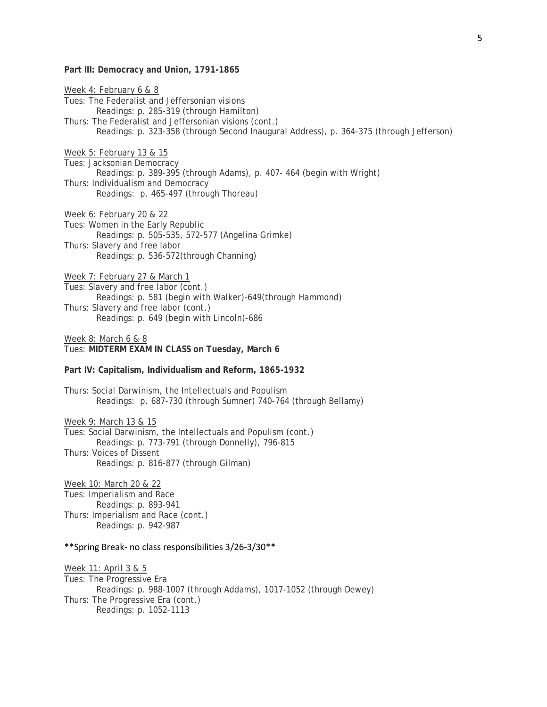**Part III: Democracy and Union, 1791-1865** Week 4: February 6 & 8 Tues: The Federalist and Jeffersonian visions Readings: p. 285-319 (through Hamilton) Thurs: The Federalist and Jeffersonian visions (cont.) Readings: p. 323-358 (through Second Inaugural Address), p. 364-375 (through Jefferson) Week 5: February 13 & 15 Tues: Jacksonian Democracy Readings: p. 389-395 (through Adams), p. 407- 464 (begin with Wright) Thurs: Individualism and Democracy Readings: p. 465-497 (through Thoreau) Week 6: February 20 & 22 Tues: Women in the Early Republic Readings: p. 505-535, 572-577 (Angelina Grimke) Thurs: Slavery and free labor Readings: p. 536-572(through Channing) Week 7: February 27 & March 1 Tues: Slavery and free labor (cont.) Readings: p. 581 (begin with Walker)-649(through Hammond) Thurs: Slavery and free labor (cont.) Readings: p. 649 (begin with Lincoln)-686 Week 8: March 6 & 8 Tues: **MIDTERM EXAM IN CLASS on Tuesday, March 6 Part IV: Capitalism, Individualism and Reform, 1865-1932** Thurs: Social Darwinism, the Intellectuals and Populism Readings: p. 687-730 (through Sumner) 740-764 (through Bellamy) Week 9: March 13 & 15 Tues: Social Darwinism, the Intellectuals and Populism (cont.) Readings: p. 773-791 (through Donnelly), 796-815 Thurs: Voices of Dissent Readings: p. 816-877 (through Gilman) Week 10: March 20 & 22 Tues: Imperialism and Race Readings: p. 893-941 Thurs: Imperialism and Race (cont.) Readings: p. 942-987 \*\*Spring Break- no class responsibilities 3/26-3/30\*\* Week 11: April 3 & 5

Tues: The Progressive Era Readings: p. 988-1007 (through Addams), 1017-1052 (through Dewey) Thurs: The Progressive Era (cont.) Readings: p. 1052-1113